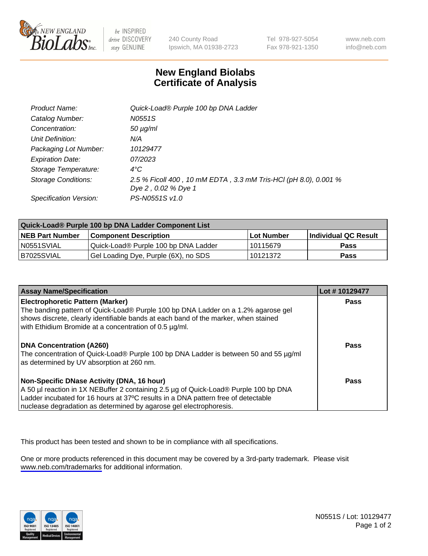

be INSPIRED drive DISCOVERY stay GENUINE

240 County Road Ipswich, MA 01938-2723 Tel 978-927-5054 Fax 978-921-1350

www.neb.com info@neb.com

## **New England Biolabs Certificate of Analysis**

| Product Name:           | Quick-Load® Purple 100 bp DNA Ladder                            |
|-------------------------|-----------------------------------------------------------------|
| Catalog Number:         | N0551S                                                          |
| Concentration:          | $50 \mu g/ml$                                                   |
| Unit Definition:        | N/A                                                             |
| Packaging Lot Number:   | 10129477                                                        |
| <b>Expiration Date:</b> | 07/2023                                                         |
| Storage Temperature:    | $4^{\circ}$ C                                                   |
| Storage Conditions:     | 2.5 % Ficoll 400, 10 mM EDTA, 3.3 mM Tris-HCl (pH 8.0), 0.001 % |
|                         | Dye 2, 0.02 % Dye 1                                             |
| Specification Version:  | PS-N0551S v1.0                                                  |

| Quick-Load® Purple 100 bp DNA Ladder Component List |                                      |              |                      |  |
|-----------------------------------------------------|--------------------------------------|--------------|----------------------|--|
| <b>NEB Part Number</b>                              | <b>Component Description</b>         | l Lot Number | Individual QC Result |  |
| N0551SVIAL                                          | Quick-Load® Purple 100 bp DNA Ladder | l 10115679   | <b>Pass</b>          |  |
| B7025SVIAL                                          | Gel Loading Dye, Purple (6X), no SDS | 10121372     | <b>Pass</b>          |  |

| <b>Assay Name/Specification</b>                                                                                                                                                                                                                                                               | Lot #10129477 |
|-----------------------------------------------------------------------------------------------------------------------------------------------------------------------------------------------------------------------------------------------------------------------------------------------|---------------|
| <b>Electrophoretic Pattern (Marker)</b><br>The banding pattern of Quick-Load® Purple 100 bp DNA Ladder on a 1.2% agarose gel<br>shows discrete, clearly identifiable bands at each band of the marker, when stained                                                                           | <b>Pass</b>   |
| with Ethidium Bromide at a concentration of 0.5 µg/ml.<br><b>DNA Concentration (A260)</b><br>The concentration of Quick-Load® Purple 100 bp DNA Ladder is between 50 and 55 µg/ml<br>as determined by UV absorption at 260 nm.                                                                | <b>Pass</b>   |
| Non-Specific DNase Activity (DNA, 16 hour)<br>A 50 µl reaction in 1X NEBuffer 2 containing 2.5 µg of Quick-Load® Purple 100 bp DNA<br>Ladder incubated for 16 hours at 37°C results in a DNA pattern free of detectable<br>nuclease degradation as determined by agarose gel electrophoresis. | Pass          |

This product has been tested and shown to be in compliance with all specifications.

One or more products referenced in this document may be covered by a 3rd-party trademark. Please visit <www.neb.com/trademarks>for additional information.